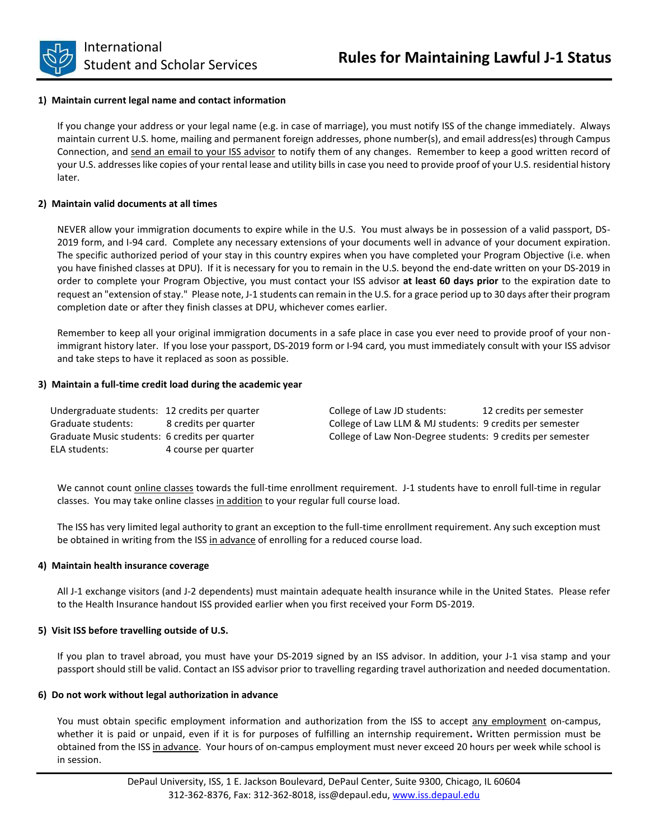

## **1) Maintain current legal name and contact information**

If you change your address or your legal name (e.g. in case of marriage), you must notify ISS of the change immediately.Always maintain current U.S. home, mailing and permanent foreign addresses, phone number(s), and email address(es) through Campus Connection, and send an email to your ISS advisor to notify them of any changes. Remember to keep a good written record of your U.S. addresses like copies of your rental lease and utility bills in case you need to provide proof of your U.S. residential history later.

## **2) Maintain valid documents at all times**

NEVER allow your immigration documents to expire while in the U.S. You must always be in possession of a valid passport, DS-2019 form, and I-94 card. Complete any necessary extensions of your documents well in advance of your document expiration. The specific authorized period of your stay in this country expires when you have completed your Program Objective (i.e. when you have finished classes at DPU). If it is necessary for you to remain in the U.S. beyond the end-date written on your DS-2019 in order to complete your Program Objective, you must contact your ISS advisor **at least 60 days prior** to the expiration date to request an "extension of stay." Please note, J-1 students can remain in the U.S. for a grace period up to 30 days after their program completion date or after they finish classes at DPU, whichever comes earlier.

Remember to keep all your original immigration documents in a safe place in case you ever need to provide proof of your nonimmigrant history later. If you lose your passport, DS-2019 form or I-94 card*,* you must immediately consult with your ISS advisor and take steps to have it replaced as soon as possible.

#### **3) Maintain a full-time credit load during the academic year**

| Undergraduate students: 12 credits per quarter | College of Law JD students:<br>12 credits per semester     |
|------------------------------------------------|------------------------------------------------------------|
| Graduate students:<br>8 credits per guarter    | College of Law LLM & MJ students: 9 credits per semester   |
| Graduate Music students: 6 credits per quarter | College of Law Non-Degree students: 9 credits per semester |
| ELA students:<br>4 course per quarter          |                                                            |

We cannot count **online classes** towards the full-time enrollment requirement. J-1 students have to enroll full-time in regular classes. You may take online classes in addition to your regular full course load.

The ISS has very limited legal authority to grant an exception to the full-time enrollment requirement. Any such exception must be obtained in writing from the ISS in advance of enrolling for a reduced course load.

#### **4) Maintain health insurance coverage**

All J-1 exchange visitors (and J-2 dependents) must maintain adequate health insurance while in the United States. Please refer to the Health Insurance handout ISS provided earlier when you first received your Form DS-2019.

#### **5) Visit ISS before travelling outside of U.S.**

If you plan to travel abroad, you must have your DS-2019 signed by an ISS advisor. In addition, your J-1 visa stamp and your passport should still be valid. Contact an ISS advisor prior to travelling regarding travel authorization and needed documentation.

#### **6) Do not work without legal authorization in advance**

You must obtain specific employment information and authorization from the ISS to accept any employment on-campus, whether it is paid or unpaid, even if it is for purposes of fulfilling an internship requirement**.** Written permission must be obtained from the ISS in advance. Your hours of on-campus employment must never exceed 20 hours per week while school is in session.